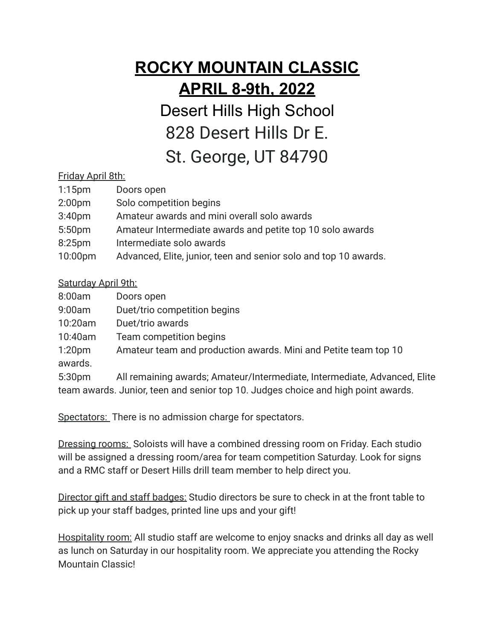## **ROCKY MOUNTAIN CLASSIC APRIL 8-9th, 2022**

Desert Hills High School 828 Desert Hills Dr E. St. George, UT 84790

## Friday April 8th:

| $1:15$ pm          | Doors open                                                       |
|--------------------|------------------------------------------------------------------|
| 2:00 <sub>pm</sub> | Solo competition begins                                          |
| 3:40 <sub>pm</sub> | Amateur awards and mini overall solo awards                      |
| 5:50 <sub>pm</sub> | Amateur Intermediate awards and petite top 10 solo awards        |
| 8:25 <sub>pm</sub> | Intermediate solo awards                                         |
| 10:00pm            | Advanced, Elite, junior, teen and senior solo and top 10 awards. |
|                    |                                                                  |

## Saturday April 9th:

| 8:00am             | Doors open                                                                        |
|--------------------|-----------------------------------------------------------------------------------|
| 9:00am             | Duet/trio competition begins                                                      |
| 10:20am            | Duet/trio awards                                                                  |
| 10:40am            | Team competition begins                                                           |
| 1:20 <sub>pm</sub> | Amateur team and production awards. Mini and Petite team top 10                   |
| awards.            |                                                                                   |
| 5:30 <sub>pm</sub> | All remaining awards; Amateur/Intermediate, Intermediate, Advanced, Elite         |
|                    | team awards. Junior, teen and senior top 10. Judges choice and high point awards. |

Spectators: There is no admission charge for spectators.

**Dressing rooms:** Soloists will have a combined dressing room on Friday. Each studio will be assigned a dressing room/area for team competition Saturday. Look for signs and a RMC staff or Desert Hills drill team member to help direct you.

Director gift and staff badges: Studio directors be sure to check in at the front table to pick up your staff badges, printed line ups and your gift!

Hospitality room: All studio staff are welcome to enjoy snacks and drinks all day as well as lunch on Saturday in our hospitality room. We appreciate you attending the Rocky Mountain Classic!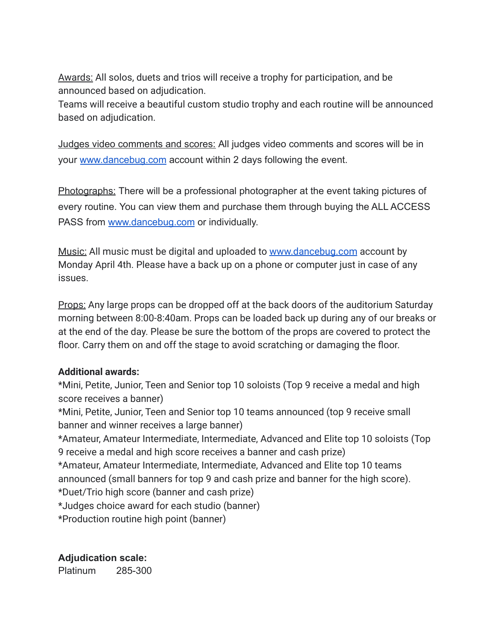Awards: All solos, duets and trios will receive a trophy for participation, and be announced based on adjudication.

Teams will receive a beautiful custom studio trophy and each routine will be announced based on adjudication.

Judges video comments and scores: All judges video comments and scores will be in your [www.dancebug.com](http://www.dancebug.com) account within 2 days following the event.

Photographs: There will be a professional photographer at the event taking pictures of every routine. You can view them and purchase them through buying the ALL ACCESS PASS from [www.dancebug.com](http://www.dancebug.com) or individually.

Music: All music must be digital and uploaded to [www.dancebug.com](http://www.dancebug.com) account by Monday April 4th. Please have a back up on a phone or computer just in case of any issues.

Props: Any large props can be dropped off at the back doors of the auditorium Saturday morning between 8:00-8:40am. Props can be loaded back up during any of our breaks or at the end of the day. Please be sure the bottom of the props are covered to protect the floor. Carry them on and off the stage to avoid scratching or damaging the floor.

## **Additional awards:**

\*Mini, Petite, Junior, Teen and Senior top 10 soloists (Top 9 receive a medal and high score receives a banner)

\*Mini, Petite, Junior, Teen and Senior top 10 teams announced (top 9 receive small banner and winner receives a large banner)

\*Amateur, Amateur Intermediate, Intermediate, Advanced and Elite top 10 soloists (Top 9 receive a medal and high score receives a banner and cash prize)

\*Amateur, Amateur Intermediate, Intermediate, Advanced and Elite top 10 teams announced (small banners for top 9 and cash prize and banner for the high score).

\*Duet/Trio high score (banner and cash prize)

\*Judges choice award for each studio (banner)

\*Production routine high point (banner)

**Adjudication scale:**

Platinum 285-300